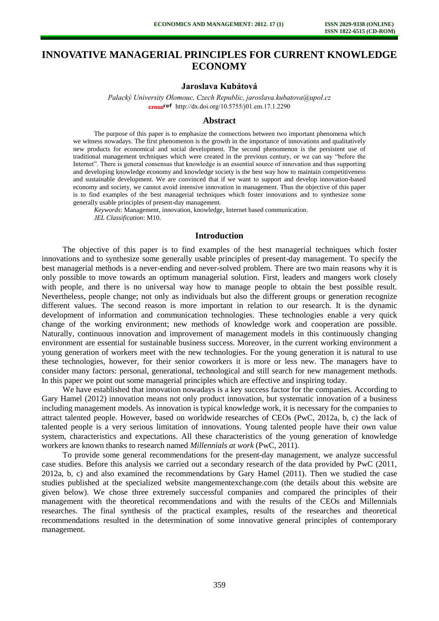# **INNOVATIVE MANAGERIAL PRINCIPLES FOR CURRENT KNOWLEDGE ECONOMY**

#### **Jaroslava Kubátová**

*Palacký University Olomouc, Czech Republic, jaroslava.kubatova@upol.cz* cross<sup>ref</sup> [http://dx.doi.org/10.5755/j01.e](http://dx.doi.org/10.5755/j01.em.17.1.2290)m.17.1.2290

#### **Abstract**

The purpose of this paper is to emphasize the connections between two important phenomena which we witness nowadays. The first phenomenon is the growth in the importance of innovations and qualitatively new products for economical and social development. The second phenomenon is the persistent use of traditional management techniques which were created in the previous century, or we can say "before the Internet". There is general consensus that knowledge is an essential source of innovation and thus supporting and developing knowledge economy and knowledge society is the best way how to maintain competitiveness and sustainable development. We are convinced that if we want to support and develop innovation-based economy and society, we cannot avoid intensive innovation in management. Thus the objective of this paper is to find examples of the best managerial techniques which foster innovations and to synthesize some generally usable principles of present-day management.

*Keywords*: Management, innovation, knowledge, Internet based communication. *JEL Classification*: M10.

## **Introduction**

The objective of this paper is to find examples of the best managerial techniques which foster innovations and to synthesize some generally usable principles of present-day management. To specify the best managerial methods is a never-ending and never-solved problem. There are two main reasons why it is only possible to move towards an optimum managerial solution. First, leaders and mangers work closely with people, and there is no universal way how to manage people to obtain the best possible result. Nevertheless, people change; not only as individuals but also the different groups or generation recognize different values. The second reason is more important in relation to our research. It is the dynamic development of information and communication technologies. These technologies enable a very quick change of the working environment; new methods of knowledge work and cooperation are possible. Naturally, continuous innovation and improvement of management models in this continuously changing environment are essential for sustainable business success. Moreover, in the current working environment a young generation of workers meet with the new technologies. For the young generation it is natural to use these technologies, however, for their senior coworkers it is more or less new. The managers have to consider many factors: personal, generational, technological and still search for new management methods. In this paper we point out some managerial principles which are effective and inspiring today.

We have established that innovation nowadays is a key success factor for the companies. According to Gary Hamel (2012) innovation means not only product innovation, but systematic innovation of a business including management models. As innovation is typical knowledge work, it is necessary for the companies to attract talented people. However, based on worldwide researches of CEOs (PwC, 2012a, b, c) the lack of talented people is a very serious limitation of innovations. Young talented people have their own value system, characteristics and expectations. All these characteristics of the young generation of knowledge workers are known thanks to research named *Millennials at work* (PwC, 2011).

To provide some general recommendations for the present-day management, we analyze successful case studies. Before this analysis we carried out a secondary research of the data provided by PwC (2011, 2012a, b, c) and also examined the recommendations by Gary Hamel (2011). Then we studied the case studies published at the specialized website mangementexchange.com (the details about this website are given below). We chose three extremely successful companies and compared the principles of their management with the theoretical recommendations and with the results of the CEOs and Millennials researches. The final synthesis of the practical examples, results of the researches and theoretical recommendations resulted in the determination of some innovative general principles of contemporary management.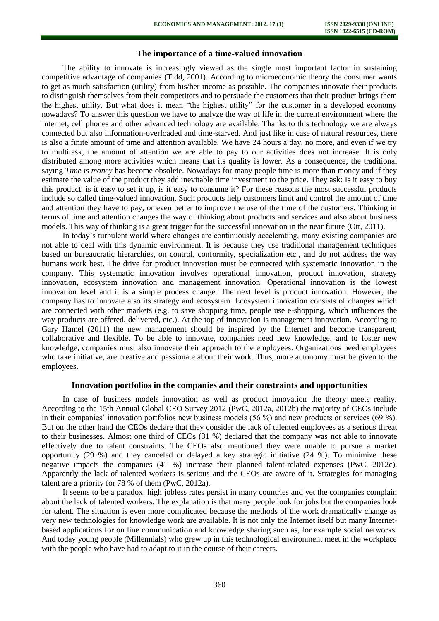#### **The importance of a time-valued innovation**

The ability to innovate is increasingly viewed as the single most important factor in sustaining competitive advantage of companies (Tidd, 2001). According to microeconomic theory the consumer wants to get as much satisfaction (utility) from his/her income as possible. The companies innovate their products to distinguish themselves from their competitors and to persuade the customers that their product brings them the highest utility. But what does it mean "the highest utility" for the customer in a developed economy nowadays? To answer this question we have to analyze the way of life in the current environment where the Internet, cell phones and other advanced technology are available. Thanks to this technology we are always connected but also information-overloaded and time-starved. And just like in case of natural resources, there is also a finite amount of time and attention available. We have 24 hours a day, no more, and even if we try to multitask, the amount of attention we are able to pay to our activities does not increase. It is only distributed among more activities which means that its quality is lower. As a consequence, the traditional saying *Time is money* has become obsolete. Nowadays for many people time is more than money and if they estimate the value of the product they add inevitable time investment to the price. They ask: Is it easy to buy this product, is it easy to set it up, is it easy to consume it? For these reasons the most successful products include so called time-valued innovation. Such products help customers limit and control the amount of time and attention they have to pay, or even better to improve the use of the time of the customers. Thinking in terms of time and attention changes the way of thinking about products and services and also about business models. This way of thinking is a great trigger for the successful innovation in the near future (Ott, 2011).

In today's turbulent world where changes are continuously accelerating, many existing companies are not able to deal with this dynamic environment. It is because they use traditional management techniques based on bureaucratic hierarchies, on control, conformity, specialization etc., and do not address the way humans work best. The drive for product innovation must be connected with systematic innovation in the company. This systematic innovation involves operational innovation, product innovation, strategy innovation, ecosystem innovation and management innovation. Operational innovation is the lowest innovation level and it is a simple process change. The next level is product innovation. However, the company has to innovate also its strategy and ecosystem. Ecosystem innovation consists of changes which are connected with other markets (e.g. to save shopping time, people use e-shopping, which influences the way products are offered, delivered, etc.). At the top of innovation is management innovation. According to Gary Hamel (2011) the new management should be inspired by the Internet and become transparent, collaborative and flexible. To be able to innovate, companies need new knowledge, and to foster new knowledge, companies must also innovate their approach to the employees. Organizations need employees who take initiative, are creative and passionate about their work. Thus, more autonomy must be given to the employees.

## **Innovation portfolios in the companies and their constraints and opportunities**

In case of business models innovation as well as product innovation the theory meets reality. According to the 15th Annual Global CEO Survey 2012 (PwC, 2012a, 2012b) the majority of CEOs include in their companies' innovation portfolios new business models (56 %) and new products or services (69 %). But on the other hand the CEOs declare that they consider the lack of talented employees as a serious threat to their businesses. Almost one third of CEOs (31 %) declared that the company was not able to innovate effectively due to talent constraints. The CEOs also mentioned they were unable to pursue a market opportunity (29 %) and they canceled or delayed a key strategic initiative (24 %). To minimize these negative impacts the companies (41 %) increase their planned talent-related expenses (PwC, 2012c). Apparently the lack of talented workers is serious and the CEOs are aware of it. Strategies for managing talent are a priority for 78 % of them (PwC, 2012a).

It seems to be a paradox: high jobless rates persist in many countries and yet the companies complain about the lack of talented workers. The explanation is that many people look for jobs but the companies look for talent. The situation is even more complicated because the methods of the work dramatically change as very new technologies for knowledge work are available. It is not only the Internet itself but many Internetbased applications for on line communication and knowledge sharing such as, for example social networks. And today young people (Millennials) who grew up in this technological environment meet in the workplace with the people who have had to adapt to it in the course of their careers.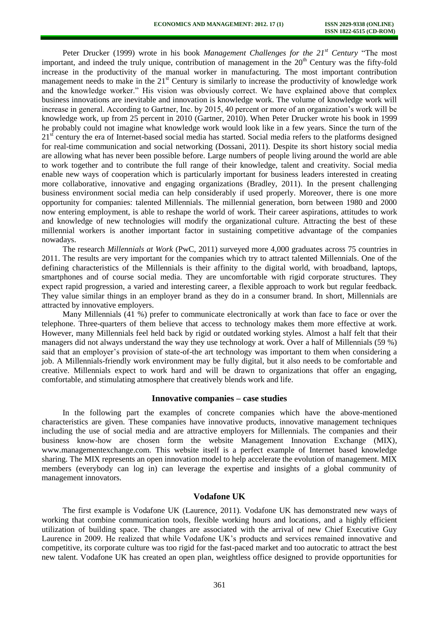Peter Drucker (1999) wrote in his book *Management Challenges for the 21st Century* "The most important, and indeed the truly unique, contribution of management in the  $20<sup>th</sup>$  Century was the fifty-fold increase in the productivity of the manual worker in manufacturing. The most important contribution management needs to make in the  $21<sup>st</sup>$  Century is similarly to increase the productivity of knowledge work and the knowledge worker." His vision was obviously correct. We have explained above that complex business innovations are inevitable and innovation is knowledge work. The volume of knowledge work will increase in general. According to Gartner, Inc. by 2015, 40 percent or more of an organization's work will be knowledge work, up from 25 percent in 2010 (Gartner, 2010). When Peter Drucker wrote his book in 1999 he probably could not imagine what knowledge work would look like in a few years. Since the turn of the  $21<sup>st</sup>$  century the era of Internet-based social media has started. Social media refers to the platforms designed for real-time communication and social networking (Dossani, 2011). Despite its short history social media are allowing what has never been possible before. Large numbers of people living around the world are able to work together and to contribute the full range of their knowledge, talent and creativity. Social media enable new ways of cooperation which is particularly important for business leaders interested in creating more collaborative, innovative and engaging organizations (Bradley, 2011). In the present challenging business environment social media can help considerably if used properly. Moreover, there is one more opportunity for companies: talented Millennials. The millennial generation, born between 1980 and 2000 now entering employment, is able to reshape the world of work. Their career aspirations, attitudes to work and knowledge of new technologies will modify the organizational culture. Attracting the best of these millennial workers is another important factor in sustaining competitive advantage of the companies nowadays.

The research *Millennials at Work* (PwC, 2011) surveyed more 4,000 graduates across 75 countries in 2011. The results are very important for the companies which try to attract talented Millennials. One of the defining characteristics of the Millennials is their affinity to the digital world, with broadband, laptops, smartphones and of course social media. They are uncomfortable with rigid corporate structures. They expect rapid progression, a varied and interesting career, a flexible approach to work but regular feedback. They value similar things in an employer brand as they do in a consumer brand. In short, Millennials are attracted by innovative employers.

Many Millennials (41 %) prefer to communicate electronically at work than face to face or over the telephone. Three-quarters of them believe that access to technology makes them more effective at work. However, many Millennials feel held back by rigid or outdated working styles. Almost a half felt that their managers did not always understand the way they use technology at work. Over a half of Millennials (59 %) said that an employer's provision of state-of-the art technology was important to them when considering a job. A Millennials-friendly work environment may be fully digital, but it also needs to be comfortable and creative. Millennials expect to work hard and will be drawn to organizations that offer an engaging, comfortable, and stimulating atmosphere that creatively blends work and life.

#### **Innovative companies – case studies**

In the following part the examples of concrete companies which have the above-mentioned characteristics are given. These companies have innovative products, innovative management techniques including the use of social media and are attractive employers for Millennials. The companies and their business know-how are chosen form the website Management Innovation Exchange (MIX), www.managementexchange.com. This website itself is a perfect example of Internet based knowledge sharing. The MIX represents an open innovation model to help accelerate the evolution of management. MIX members (everybody can log in) can leverage the expertise and insights of a global community of management innovators.

## **Vodafone UK**

The first example is Vodafone UK (Laurence, 2011). Vodafone UK has demonstrated new ways of working that combine communication tools, flexible working hours and locations, and a highly efficient utilization of building space. The changes are associated with the arrival of new Chief Executive Guy Laurence in 2009. He realized that while Vodafone UK's products and services remained innovative and competitive, its corporate culture was too rigid for the fast-paced market and too autocratic to attract the best new talent. Vodafone UK has created an open plan, weightless office designed to provide opportunities for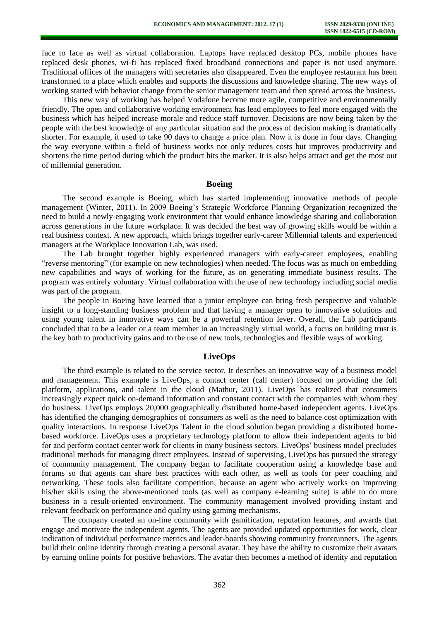face to face as well as virtual collaboration. Laptops have replaced desktop PCs, mobile phones have replaced desk phones, wi-fi has replaced fixed broadband connections and paper is not used anymore. Traditional offices of the managers with secretaries also disappeared. Even the employee restaurant has been transformed to a place which enables and supports the discussions and knowledge sharing. The new ways of working started with behavior change from the senior management team and then spread across the business.

This new way of working has helped Vodafone become more agile, competitive and environmentally friendly. The open and collaborative working environment has lead employees to feel more engaged with the business which has helped increase morale and reduce staff turnover. Decisions are now being taken by the people with the best knowledge of any particular situation and the process of decision making is dramatically shorter. For example, it used to take 90 days to change a price plan. Now it is done in four days. Changing the way everyone within a field of business works not only reduces costs but improves productivity and shortens the time period during which the product hits the market. It is also helps attract and get the most out of millennial generation.

## **Boeing**

The second example is Boeing, which has started implementing innovative methods of people management (Winter, 2011). In 2009 Boeing's Strategic Workforce Planning Organization recognized the need to build a newly-engaging work environment that would enhance knowledge sharing and collaboration across generations in the future workplace. It was decided the best way of growing skills would be within a real business context. A new approach, which brings together early-career Millennial talents and experienced managers at the Workplace Innovation Lab, was used.

The Lab brought together highly experienced managers with early-career employees, enabling "reverse mentoring" (for example on new technologies) when needed. The focus was as much on embedding new capabilities and ways of working for the future, as on generating immediate business results. The program was entirely voluntary. Virtual collaboration with the use of new technology including social media was part of the program.

The people in Boeing have learned that a junior employee can bring fresh perspective and valuable insight to a long-standing business problem and that having a manager open to innovative solutions and using young talent in innovative ways can be a powerful retention lever. Overall, the Lab participants concluded that to be a leader or a team member in an increasingly virtual world, a focus on building trust is the key both to productivity gains and to the use of new tools, technologies and flexible ways of working.

### **LiveOps**

The third example is related to the service sector. It describes an innovative way of a business model and management. This example is LiveOps, a contact center (call center) focused on providing the full platform, applications, and talent in the cloud (Mathur, 2011). LiveOps has realized that consumers increasingly expect quick on-demand information and constant contact with the companies with whom they do business. LiveOps employs 20,000 geographically distributed home-based independent agents. LiveOps has identified the changing demographics of consumers as well as the need to balance cost optimization with quality interactions. In response LiveOps Talent in the cloud solution began providing a distributed homebased workforce. LiveOps uses a proprietary technology platform to allow their independent agents to bid for and perform contact center work for clients in many business sectors. LiveOps' business model precludes traditional methods for managing direct employees. Instead of supervising, LiveOps has pursued the strategy of community management. The company began to facilitate cooperation using a knowledge base and forums so that agents can share best practices with each other, as well as tools for peer coaching and networking. These tools also facilitate competition, because an agent who actively works on improving his/her skills using the above-mentioned tools (as well as company e-learning suite) is able to do more business in a result-oriented environment. The community management involved providing instant and relevant feedback on performance and quality using gaming mechanisms.

The company created an on-line community with gamification, reputation features, and awards that engage and motivate the independent agents. The agents are provided updated opportunities for work, clear indication of individual performance metrics and leader-boards showing community frontrunners. The agents build their online identity through creating a personal avatar. They have the ability to customize their avatars by earning online points for positive behaviors. The avatar then becomes a method of identity and reputation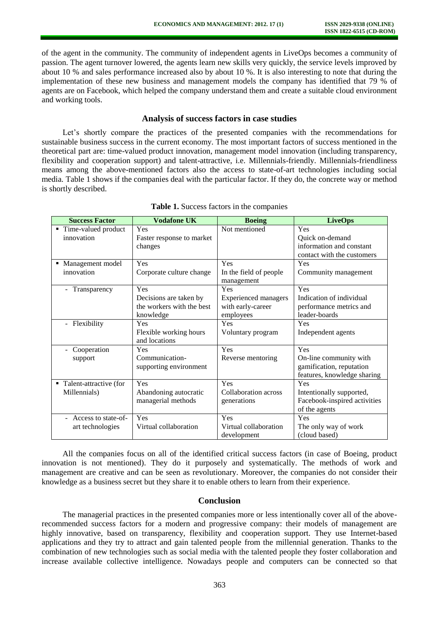of the agent in the community. The community of independent agents in LiveOps becomes a community of passion. The agent turnover lowered, the agents learn new skills very quickly, the service levels improved by about 10 % and sales performance increased also by about 10 %. It is also interesting to note that during the implementation of these new business and management models the company has identified that 79 % of agents are on Facebook, which helped the company understand them and create a suitable cloud environment and working tools.

## **Analysis of success factors in case studies**

Let's shortly compare the practices of the presented companies with the recommendations for sustainable business success in the current economy. The most important factors of success mentioned in the theoretical part are: time-valued product innovation, management model innovation (including transparency, flexibility and cooperation support) and talent-attractive, i.e. Millennials-friendly. Millennials-friendliness means among the above-mentioned factors also the access to state-of-art technologies including social media. Table 1 shows if the companies deal with the particular factor. If they do, the concrete way or method is shortly described.

| <b>Success Factor</b>                    | <b>Vodafone UK</b>                      | <b>Boeing</b>                        | <b>LiveOps</b>               |
|------------------------------------------|-----------------------------------------|--------------------------------------|------------------------------|
| ■ Time-valued product                    | Yes                                     | Not mentioned                        | Yes                          |
| innovation                               | Faster response to market               |                                      | Quick on-demand              |
|                                          | changes                                 |                                      | information and constant     |
|                                          |                                         |                                      | contact with the customers   |
| • Management model                       | Yes                                     | Yes                                  | Yes                          |
| innovation                               | Corporate culture change                | In the field of people<br>management | Community management         |
| Transparency<br>$\overline{\phantom{a}}$ | Yes                                     | Yes                                  | Yes                          |
|                                          | Decisions are taken by                  | <b>Experienced</b> managers          | Indication of individual     |
|                                          | the workers with the best               | with early-career                    | performance metrics and      |
|                                          | knowledge                               | employees                            | leader-boards                |
| Flexibility<br>$\blacksquare$            | Yes                                     | Yes                                  | Yes                          |
|                                          | Flexible working hours<br>and locations | Voluntary program                    | Independent agents           |
| Cooperation                              | Yes                                     | Yes                                  | Yes                          |
| support                                  | Communication-                          | Reverse mentoring                    | On-line community with       |
|                                          | supporting environment                  |                                      | gamification, reputation     |
|                                          |                                         |                                      | features, knowledge sharing  |
| • Talent-attractive (for                 | Yes                                     | Yes                                  | Yes                          |
| Millennials)                             | Abandoning autocratic                   | Collaboration across                 | Intentionally supported,     |
|                                          | managerial methods                      | generations                          | Facebook-inspired activities |
|                                          |                                         |                                      | of the agents                |
| Access to state-of-                      | Yes                                     | Yes                                  | Yes                          |
| art technologies                         | Virtual collaboration                   | Virtual collaboration                | The only way of work         |
|                                          |                                         | development                          | (cloud based)                |

**Table 1.** Success factors in the companies

All the companies focus on all of the identified critical success factors (in case of Boeing, product innovation is not mentioned). They do it purposely and systematically. The methods of work and management are creative and can be seen as revolutionary. Moreover, the companies do not consider their knowledge as a business secret but they share it to enable others to learn from their experience.

## **Conclusion**

The managerial practices in the presented companies more or less intentionally cover all of the aboverecommended success factors for a modern and progressive company: their models of management are highly innovative, based on transparency, flexibility and cooperation support. They use Internet-based applications and they try to attract and gain talented people from the millennial generation. Thanks to the combination of new technologies such as social media with the talented people they foster collaboration and increase available collective intelligence. Nowadays people and computers can be connected so that